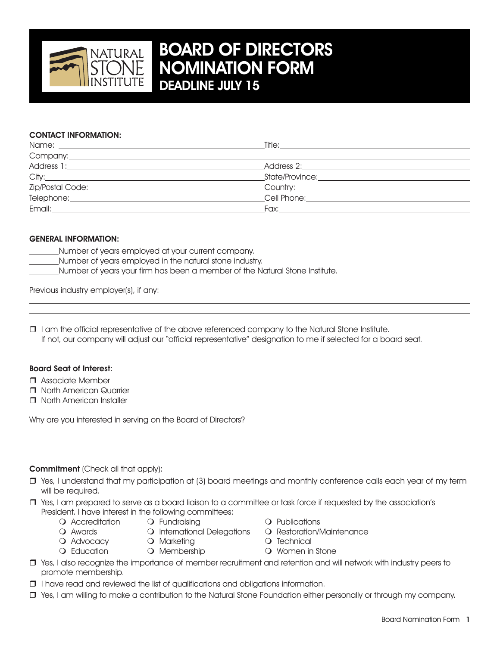

# Board of Directors Nomination Form Deadline July 15

## CONTACT INFORMATION:

| Company: example of the state of the state of the state of the state of the state of the state of the state of the state of the state of the state of the state of the state of the state of the state of the state of the sta |                                           |
|--------------------------------------------------------------------------------------------------------------------------------------------------------------------------------------------------------------------------------|-------------------------------------------|
| Address 1:                                                                                                                                                                                                                     | Address 2: __________________             |
| City:                                                                                                                                                                                                                          | State/Province: www.astronomia.com        |
|                                                                                                                                                                                                                                |                                           |
|                                                                                                                                                                                                                                | Cell Phone: <u>______________________</u> |
| Email: Email: All and the state of the state of the state of the state of the state of the state of the state of the state of the state of the state of the state of the state of the state of the state of the state of the s |                                           |

### GENERAL INFORMATION:

- Number of years employed at your current company.
- Number of years employed in the natural stone industry.
- Number of years your firm has been a member of the Natural Stone Institute.

Previous industry employer(s), if any:

 $\Box$  I am the official representative of the above referenced company to the Natural Stone Institute. If not, our company will adjust our "official representative" designation to me if selected for a board seat.

#### Board Seat of Interest:

 $\overline{a}$ 

- $\Box$  Associate Member
- **T** North American Quarrier
- **T** North American Installer

Why are you interested in serving on the Board of Directors?

### Commitment (Check all that apply):

- $\Box$  Yes, I understand that my participation at (3) board meetings and monthly conference calls each year of my term will be required.
- r Yes, I am prepared to serve as a board liaison to a committee or task force if requested by the association's President. I have interest in the following committees:
	- Q Accreditation and Pundraising and Publications
	- Q Awards **C** International Delegations **Q Restoration/Maintenance**
- - O Advocacy **O Marketing m Technical** 
		-
- 
- 
- Q Education and Membership and Membership and Momen in Stone
- r Yes, I also recognize the importance of member recruitment and retention and will network with industry peers to promote membership.
- $\Box$  I have read and reviewed the list of qualifications and obligations information.
- r Yes, I am willing to make a contribution to the Natural Stone Foundation either personally or through my company.